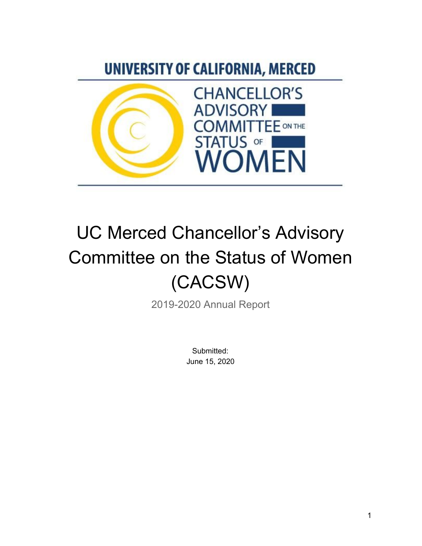# UNIVERSITY OF CALIFORNIA, MERCED



# UC Merced Chancellor's Advisory Committee on the Status of Women (CACSW)

2019-2020 Annual Report

Submitted: June 15, 2020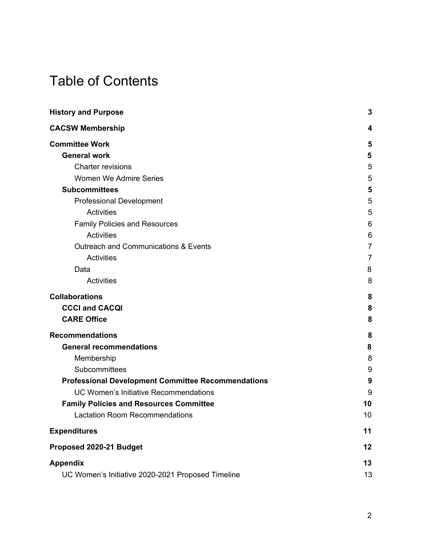# Table of Contents

| <b>History and Purpose</b>                                | 3  |
|-----------------------------------------------------------|----|
| <b>CACSW Membership</b>                                   | 4  |
| <b>Committee Work</b>                                     | 5  |
| <b>General work</b>                                       | 5  |
| <b>Charter revisions</b>                                  | 5  |
| Women We Admire Series                                    | 5  |
| <b>Subcommittees</b>                                      | 5  |
| <b>Professional Development</b>                           | 5  |
| <b>Activities</b>                                         | 5  |
| <b>Family Policies and Resources</b>                      | 6  |
| Activities                                                | 6  |
| <b>Outreach and Communications &amp; Events</b>           | 7  |
| <b>Activities</b>                                         | 7  |
| Data                                                      | 8  |
| Activities                                                | 8  |
| <b>Collaborations</b>                                     | 8  |
| <b>CCCI and CACQI</b>                                     | 8  |
| <b>CARE Office</b>                                        | 8  |
| <b>Recommendations</b>                                    | 8  |
| <b>General recommendations</b>                            | 8  |
| Membership                                                | 8  |
| Subcommittees                                             | 9  |
| <b>Professional Development Committee Recommendations</b> | 9  |
| <b>UC Women's Initiative Recommendations</b>              | 9  |
| <b>Family Policies and Resources Committee</b>            | 10 |
| <b>Lactation Room Recommendations</b>                     | 10 |
| <b>Expenditures</b>                                       | 11 |
| Proposed 2020-21 Budget                                   | 12 |
| <b>Appendix</b>                                           | 13 |
| UC Women's Initiative 2020-2021 Proposed Timeline         | 13 |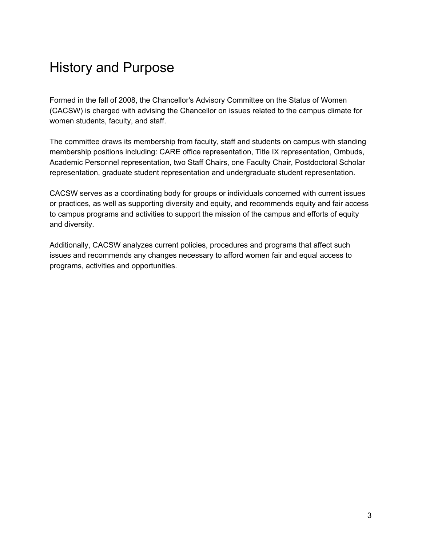# <span id="page-2-0"></span>History and Purpose

Formed in the fall of 2008, the Chancellor's Advisory Committee on the Status of Women (CACSW) is charged with advising the Chancellor on issues related to the campus climate for women students, faculty, and staff.

The committee draws its membership from faculty, staff and students on campus with standing membership positions including: CARE office representation, Title IX representation, Ombuds, Academic Personnel representation, two Staff Chairs, one Faculty Chair, Postdoctoral Scholar representation, graduate student representation and undergraduate student representation.

CACSW serves as a coordinating body for groups or individuals concerned with current issues or practices, as well as supporting diversity and equity, and recommends equity and fair access to campus programs and activities to support the mission of the campus and efforts of equity and diversity.

Additionally, CACSW analyzes current policies, procedures and programs that affect such issues and recommends any changes necessary to afford women fair and equal access to programs, activities and opportunities.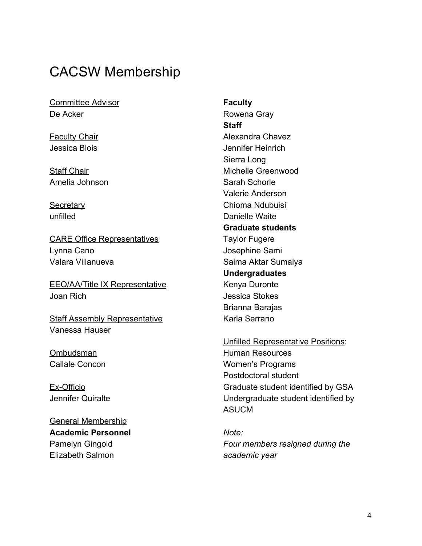### <span id="page-3-0"></span>CACSW Membership

Committee Advisor De Acker

**Faculty Chair** Jessica Blois

Staff Chair Amelia Johnson

**Secretary** unfilled

CARE Office Representatives Lynna Cano Valara Villanueva

EEO/AA/Title IX Representative Joan Rich

**Staff Assembly Representative** Vanessa Hauser

**Ombudsman** Callale Concon

Ex-Officio Jennifer Quiralte

General Membership **Academic Personnel** Pamelyn Gingold Elizabeth Salmon

**Faculty** Rowena Gray **Staff** Alexandra Chavez Jennifer Heinrich Sierra Long Michelle Greenwood Sarah Schorle Valerie Anderson Chioma Ndubuisi Danielle Waite **Graduate students** Taylor Fugere Josephine Sami Saima Aktar Sumaiya **Undergraduates** Kenya Duronte Jessica Stokes Brianna Barajas Karla Serrano

Unfilled Representative Positions: Human Resources Women's Programs Postdoctoral student Graduate student identified by GSA Undergraduate student identified by ASUCM

*Note: Four members resigned during the academic year*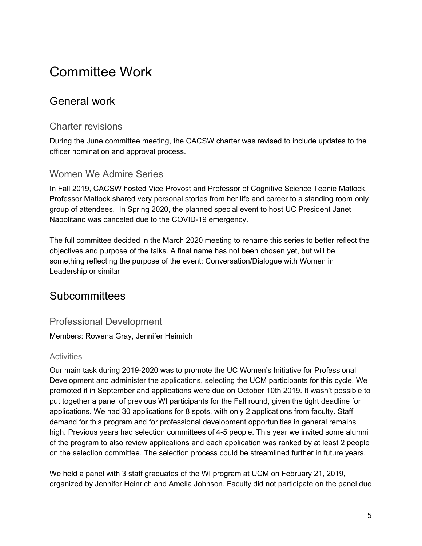# <span id="page-4-0"></span>Committee Work

### <span id="page-4-1"></span>General work

#### <span id="page-4-2"></span>Charter revisions

During the June committee meeting, the CACSW charter was revised to include updates to the officer nomination and approval process.

### <span id="page-4-3"></span>Women We Admire Series

In Fall 2019, CACSW hosted Vice Provost and Professor of Cognitive Science Teenie Matlock. Professor Matlock shared very personal stories from her life and career to a standing room only group of attendees. In Spring 2020, the planned special event to host UC President Janet Napolitano was canceled due to the COVID-19 emergency.

The full committee decided in the March 2020 meeting to rename this series to better reflect the objectives and purpose of the talks. A final name has not been chosen yet, but will be something reflecting the purpose of the event: Conversation/Dialogue with Women in Leadership or similar

### <span id="page-4-4"></span>**Subcommittees**

### <span id="page-4-5"></span>Professional Development

Members: Rowena Gray, Jennifer Heinrich

#### <span id="page-4-6"></span>**Activities**

Our main task during 2019-2020 was to promote the UC Women's Initiative for Professional Development and administer the applications, selecting the UCM participants for this cycle. We promoted it in September and applications were due on October 10th 2019. It wasn't possible to put together a panel of previous WI participants for the Fall round, given the tight deadline for applications. We had 30 applications for 8 spots, with only 2 applications from faculty. Staff demand for this program and for professional development opportunities in general remains high. Previous years had selection committees of 4-5 people. This year we invited some alumni of the program to also review applications and each application was ranked by at least 2 people on the selection committee. The selection process could be streamlined further in future years.

We held a panel with 3 staff graduates of the WI program at UCM on February 21, 2019, organized by Jennifer Heinrich and Amelia Johnson. Faculty did not participate on the panel due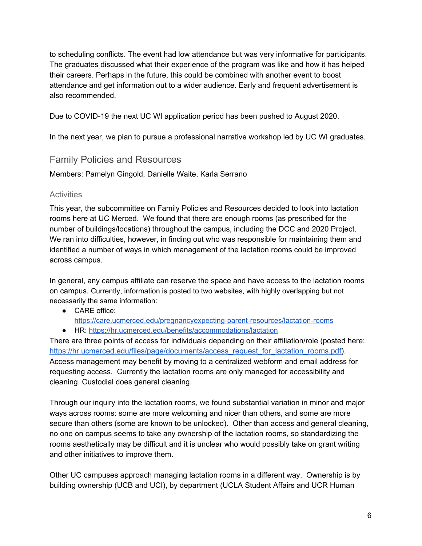to scheduling conflicts. The event had low attendance but was very informative for participants. The graduates discussed what their experience of the program was like and how it has helped their careers. Perhaps in the future, this could be combined with another event to boost attendance and get information out to a wider audience. Early and frequent advertisement is also recommended.

Due to COVID-19 the next UC WI application period has been pushed to August 2020.

<span id="page-5-0"></span>In the next year, we plan to pursue a professional narrative workshop led by UC WI graduates.

#### Family Policies and Resources

Members: Pamelyn Gingold, Danielle Waite, Karla Serrano

#### <span id="page-5-1"></span>**Activities**

This year, the subcommittee on Family Policies and Resources decided to look into lactation rooms here at UC Merced. We found that there are enough rooms (as prescribed for the number of buildings/locations) throughout the campus, including the DCC and 2020 Project. We ran into difficulties, however, in finding out who was responsible for maintaining them and identified a number of ways in which management of the lactation rooms could be improved across campus.

In general, any campus affiliate can reserve the space and have access to the lactation rooms on campus. Currently, information is posted to two websites, with highly overlapping but not necessarily the same information:

- CARE office: <https://care.ucmerced.edu/pregnancyexpecting-parent-resources/lactation-rooms>
- HR: <https://hr.ucmerced.edu/benefits/accommodations/lactation>

There are three points of access for individuals depending on their affiliation/role (posted here: [https://hr.ucmerced.edu/files/page/documents/access\\_request\\_for\\_lactation\\_rooms.pdf\)](https://hr.ucmerced.edu/files/page/documents/access_request_for_lactation_rooms.pdf). Access management may benefit by moving to a centralized webform and email address for requesting access. Currently the lactation rooms are only managed for accessibility and cleaning. Custodial does general cleaning.

Through our inquiry into the lactation rooms, we found substantial variation in minor and major ways across rooms: some are more welcoming and nicer than others, and some are more secure than others (some are known to be unlocked). Other than access and general cleaning, no one on campus seems to take any ownership of the lactation rooms, so standardizing the rooms aesthetically may be difficult and it is unclear who would possibly take on grant writing and other initiatives to improve them.

Other UC campuses approach managing lactation rooms in a different way. Ownership is by building ownership (UCB and UCI), by department (UCLA Student Affairs and UCR Human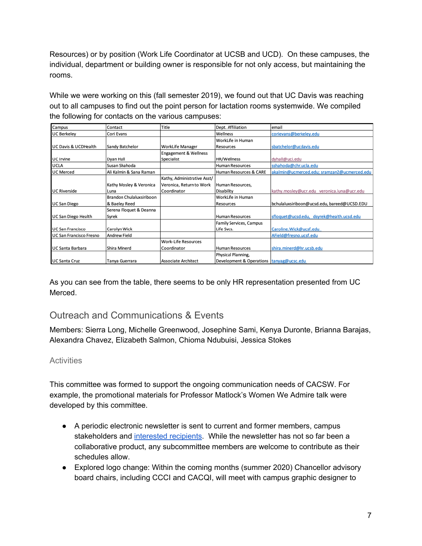Resources) or by position (Work Life Coordinator at UCSB and UCD). On these campuses, the individual, department or building owner is responsible for not only access, but maintaining the rooms.

While we were working on this (fall semester 2019), we found out that UC Davis was reaching out to all campuses to find out the point person for lactation rooms systemwide. We compiled the following for contacts on the various campuses:

| Campus                  | Contact                  | Title                       | Dept. Affiliation                          | email                                       |
|-------------------------|--------------------------|-----------------------------|--------------------------------------------|---------------------------------------------|
| <b>UC Berkeley</b>      | Cori Evans               |                             | Wellness                                   | corievans@berkeley.edu                      |
|                         |                          |                             | WorkLife in Human                          |                                             |
| UC Davis & UCDHealth    | Sandy Batchelor          | WorkLife Manager            | Resources                                  | sbatchelor@ucdavis.edu                      |
|                         |                          | Engagement & Wellness       |                                            |                                             |
| UC Irvine               | Dyan Hall                | Specialist                  | HR/Wellness                                | dyhall@uci.edu                              |
| UCLA                    | Susan Shahoda            |                             | <b>Human Resources</b>                     | sshahoda@chr.ucla.edu                       |
| <b>UC Merced</b>        | Ali Kalmin & Sana Raman  |                             | Human Resources & CARE                     | akalmin@ucmerced.edu; sramzan2@ucmerced.edu |
|                         |                          | Kathy, Administrative Asst/ |                                            |                                             |
|                         | Kathy Mosley & Veronica  | Veronica, Return to Work    | Human Resources,                           |                                             |
| <b>UC Riverside</b>     | Luna                     | Coordinator                 | Disability                                 | kathy.mosley@ucr.edu veronica.luna@ucr.edu  |
|                         | Brandon Chulaluxsiriboon |                             | WorkLife in Human                          |                                             |
| <b>UC San Diego</b>     | & Baeley Reed            |                             | Resources                                  | bchulaluxsiriboon@ucsd.edu, bareed@UCSD.EDU |
|                         | Serena Floquet & Deanna  |                             |                                            |                                             |
| UC San Diego Health     | Syrek                    |                             | <b>Human Resources</b>                     | sfloquet@ucsd.edu, dsyrek@health.ucsd.edu   |
|                         |                          |                             | Family Services, Campus                    |                                             |
| <b>UC San Francisco</b> | Carolyn Wick             |                             | Life Svcs.                                 | Caroline. Wick@ucsf.edu                     |
| UC San Francisco Fresno | Andrew Field             |                             |                                            | AField@fresno.ucsf.edu                      |
|                         |                          | <b>Work-Life Resources</b>  |                                            |                                             |
| UC Santa Barbara        | Shira Minerd             | Coordinator                 | <b>Human Resources</b>                     | shira.minerd@hr.ucsb.edu                    |
|                         |                          |                             | Physical Planning,                         |                                             |
| <b>UC Santa Cruz</b>    | Tanya Guerrara           | Associate Architect         | Development & Operations   tanyag@ucsc.edu |                                             |

As you can see from the table, there seems to be only HR representation presented from UC Merced.

### <span id="page-6-0"></span>Outreach and Communications & Events

Members: Sierra Long, Michelle Greenwood, Josephine Sami, Kenya Duronte, Brianna Barajas, Alexandra Chavez, Elizabeth Salmon, Chioma Ndubuisi, Jessica Stokes

#### <span id="page-6-1"></span>**Activities**

This committee was formed to support the ongoing communication needs of CACSW. For example, the promotional materials for Professor Matlock's Women We Admire talk were developed by this committee.

- A periodic electronic newsletter is sent to current and former members, campus stakeholders and [interested](https://cacsw.ucmerced.edu/newsletter) recipients. While the newsletter has not so far been a collaborative product, any subcommittee members are welcome to contribute as their schedules allow.
- Explored logo change: Within the coming months (summer 2020) Chancellor advisory board chairs, including CCCI and CACQI, will meet with campus graphic designer to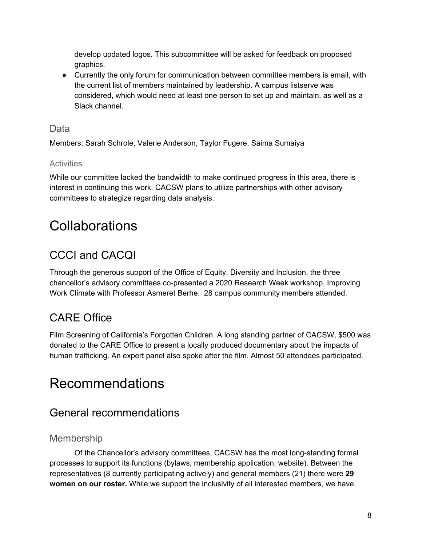develop updated logos. This subcommittee will be asked for feedback on proposed graphics.

● Currently the only forum for communication between committee members is email, with the current list of members maintained by leadership. A campus listserve was considered, which would need at least one person to set up and maintain, as well as a Slack channel.

### <span id="page-7-0"></span>**Data**

Members: Sarah Schrole, Valerie Anderson, Taylor Fugere, Saima Sumaiya

#### <span id="page-7-1"></span>**Activities**

While our committee lacked the bandwidth to make continued progress in this area, there is interest in continuing this work. CACSW plans to utilize partnerships with other advisory committees to strategize regarding data analysis.

# <span id="page-7-2"></span>**Collaborations**

### <span id="page-7-3"></span>CCCI and CACQI

Through the generous support of the Office of Equity, Diversity and Inclusion, the three chancellor's advisory committees co-presented a 2020 Research Week workshop, Improving Work Climate with Professor Asmeret Berhe. 28 campus community members attended.

### <span id="page-7-4"></span>CARE Office

Film Screening of California's Forgotten Children. A long standing partner of CACSW, \$500 was donated to the CARE Office to present a locally produced documentary about the impacts of human trafficking. An expert panel also spoke after the film. Almost 50 attendees participated.

## <span id="page-7-5"></span>Recommendations

### <span id="page-7-6"></span>General recommendations

#### <span id="page-7-7"></span>Membership

Of the Chancellor's advisory committees, CACSW has the most long-standing formal processes to support its functions (bylaws, membership application, website). Between the representatives (8 currently participating actively) and general members (21) there were **29 women on our roster.** While we support the inclusivity of all interested members, we have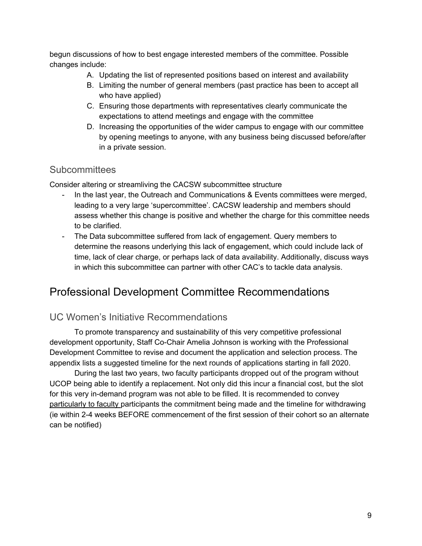begun discussions of how to best engage interested members of the committee. Possible changes include:

- A. Updating the list of represented positions based on interest and availability
- B. Limiting the number of general members (past practice has been to accept all who have applied)
- C. Ensuring those departments with representatives clearly communicate the expectations to attend meetings and engage with the committee
- D. Increasing the opportunities of the wider campus to engage with our committee by opening meetings to anyone, with any business being discussed before/after in a private session.

#### <span id="page-8-0"></span>**Subcommittees**

Consider altering or streamliving the CACSW subcommittee structure

- In the last year, the Outreach and Communications & Events committees were merged, leading to a very large 'supercommittee'. CACSW leadership and members should assess whether this change is positive and whether the charge for this committee needs to be clarified.
- The Data subcommittee suffered from lack of engagement. Query members to determine the reasons underlying this lack of engagement, which could include lack of time, lack of clear charge, or perhaps lack of data availability. Additionally, discuss ways in which this subcommittee can partner with other CAC's to tackle data analysis.

### <span id="page-8-1"></span>Professional Development Committee Recommendations

#### <span id="page-8-2"></span>UC Women's Initiative Recommendations

To promote transparency and sustainability of this very competitive professional development opportunity, Staff Co-Chair Amelia Johnson is working with the Professional Development Committee to revise and document the application and selection process. The appendix lists a suggested timeline for the next rounds of applications starting in fall 2020.

During the last two years, two faculty participants dropped out of the program without UCOP being able to identify a replacement. Not only did this incur a financial cost, but the slot for this very in-demand program was not able to be filled. It is recommended to convey particularly to faculty participants the commitment being made and the timeline for withdrawing (ie within 2-4 weeks BEFORE commencement of the first session of their cohort so an alternate can be notified)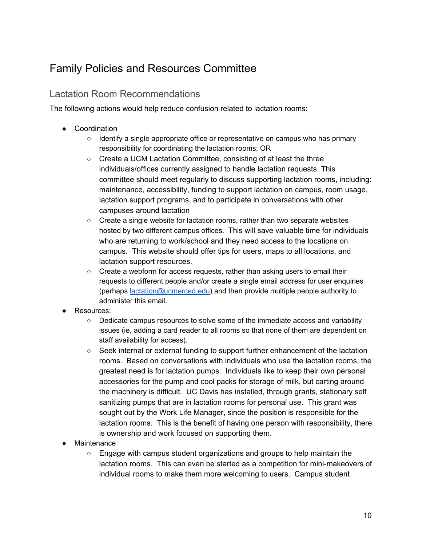### <span id="page-9-0"></span>Family Policies and Resources Committee

### <span id="page-9-1"></span>Lactation Room Recommendations

The following actions would help reduce confusion related to lactation rooms:

- Coordination
	- Identify a single appropriate office or representative on campus who has primary responsibility for coordinating the lactation rooms; OR
	- Create a UCM Lactation Committee, consisting of at least the three individuals/offices currently assigned to handle lactation requests. This committee should meet regularly to discuss supporting lactation rooms, including: maintenance, accessibility, funding to support lactation on campus, room usage, lactation support programs, and to participate in conversations with other campuses around lactation
	- Create a single website for lactation rooms, rather than two separate websites hosted by two different campus offices. This will save valuable time for individuals who are returning to work/school and they need access to the locations on campus. This website should offer tips for users, maps to all locations, and lactation support resources.
	- Create a webform for access requests, rather than asking users to email their requests to different people and/or create a single email address for user enquiries (perhaps [lactation@ucmerced.edu](mailto:lactation@ucmerced.edu)) and then provide multiple people authority to administer this email.
- Resources:
	- Dedicate campus resources to solve some of the immediate access and variability issues (ie, adding a card reader to all rooms so that none of them are dependent on staff availability for access).
	- Seek internal or external funding to support further enhancement of the lactation rooms. Based on conversations with individuals who use the lactation rooms, the greatest need is for lactation pumps. Individuals like to keep their own personal accessories for the pump and cool packs for storage of milk, but carting around the machinery is difficult. UC Davis has installed, through grants, stationary self sanitizing pumps that are in lactation rooms for personal use. This grant was sought out by the Work Life Manager, since the position is responsible for the lactation rooms. This is the benefit of having one person with responsibility, there is ownership and work focused on supporting them.
- Maintenance
	- $\circ$  Engage with campus student organizations and groups to help maintain the lactation rooms. This can even be started as a competition for mini-makeovers of individual rooms to make them more welcoming to users. Campus student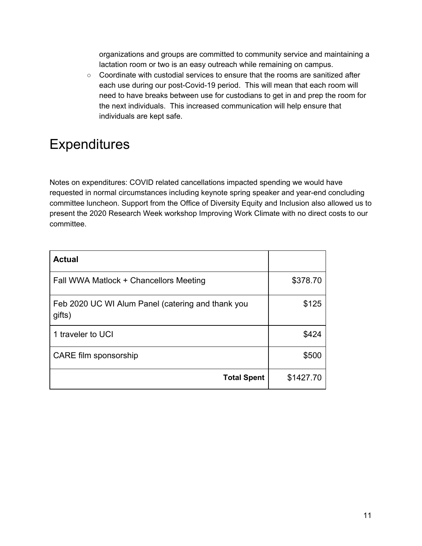organizations and groups are committed to community service and maintaining a lactation room or two is an easy outreach while remaining on campus.

○ Coordinate with custodial services to ensure that the rooms are sanitized after each use during our post-Covid-19 period. This will mean that each room will need to have breaks between use for custodians to get in and prep the room for the next individuals. This increased communication will help ensure that individuals are kept safe.

# <span id="page-10-0"></span>**Expenditures**

Notes on expenditures: COVID related cancellations impacted spending we would have requested in normal circumstances including keynote spring speaker and year-end concluding committee luncheon. Support from the Office of Diversity Equity and Inclusion also allowed us to present the 2020 Research Week workshop Improving Work Climate with no direct costs to our committee.

| <b>Actual</b>                                               |           |
|-------------------------------------------------------------|-----------|
| Fall WWA Matlock + Chancellors Meeting                      | \$378.70  |
| Feb 2020 UC WI Alum Panel (catering and thank you<br>gifts) | \$125     |
| 1 traveler to UCI                                           | \$424     |
| CARE film sponsorship                                       | \$500     |
| <b>Total Spent</b>                                          | \$1427.70 |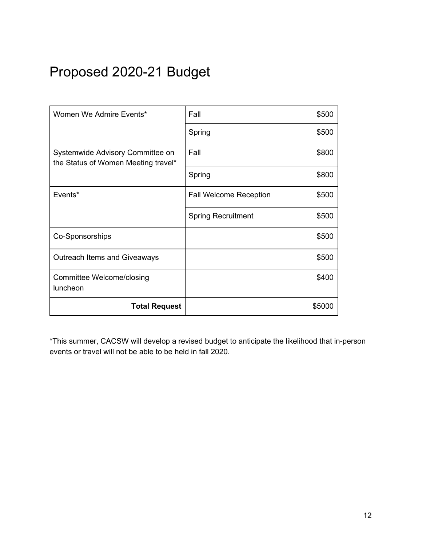# <span id="page-11-0"></span>Proposed 2020-21 Budget

| Women We Admire Events*                                                 | Fall                          | \$500  |
|-------------------------------------------------------------------------|-------------------------------|--------|
|                                                                         | Spring                        | \$500  |
| Systemwide Advisory Committee on<br>the Status of Women Meeting travel* | Fall                          | \$800  |
|                                                                         | Spring                        | \$800  |
| Events*                                                                 | <b>Fall Welcome Reception</b> | \$500  |
|                                                                         | <b>Spring Recruitment</b>     | \$500  |
| Co-Sponsorships                                                         |                               | \$500  |
| Outreach Items and Giveaways                                            |                               | \$500  |
| Committee Welcome/closing<br>luncheon                                   |                               | \$400  |
| <b>Total Request</b>                                                    |                               | \$5000 |

\*This summer, CACSW will develop a revised budget to anticipate the likelihood that in-person events or travel will not be able to be held in fall 2020.